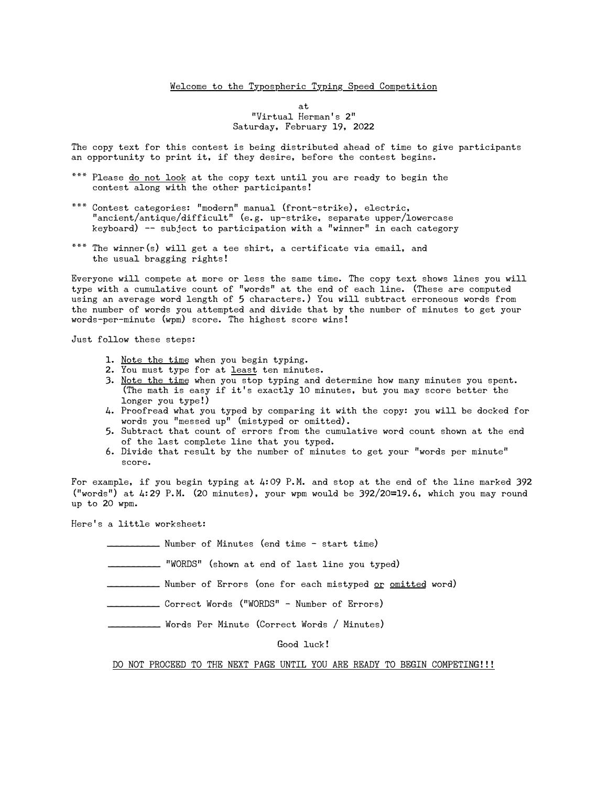#### Welcome to the Typospheric Typing Speed Competition

at "Virtual Herman's 2" Saturday, February 19, 2022

The copy text for this contest is being distributed ahead of time to give participants an opportunity to print it, if they desire, before the contest begins.

- \*\*\* Please do not look at the copy text until you are ready to begin the contest along with the other participants!
- \*\*\* Contest categories: "modern" manual (front-strike), electric, "ancient/antique/difficult" (e.g. up-strike, separate upper/lowercase keyboard)  $-$  subject to participation with a "winner" in each category
- \*\*\* The winner(s) will get a tee shirt, a certificate via email, and the usual bragging rights!

Everyone will compete at more or less the same time. The copy text shows lines you will type with a cumulative count of "words" at the end of each line. (These are computed using an average word length of 5 characters.) You will subtract erroneous words from the number of words you attempted and divide that by the number of minutes to get your words-per-minute (wpm) score. The highest score wins!

Just follow these steps:

- 1. Note the time when you begin typing.
- 2. You must type for at least ten minutes.
- 3. Note the time when you stop typing and determine how many minutes you spent. (The math is easy if it's exactly 10 minutes, but you may score better the longer you type!)
- 4. Proofread what you typed by comparing it with the copy: you will be docked for words you "messed up" (mistyped or omitted).
- 5. Subtract that count of errors from the cumulative word count shown at the end of the last complete line that you typed.
- 6. Divide that result by the number of minutes to get your "words per minute" score.

For example, if you begin typing at 4:09 P.M. and stop at the end of the line marked 392 ("words") at 4:29 P.M. (20 minutes), your wpm would be 392/20=19.6, which you may round up to 20 wpm.

Here's a little worksheet:

\_\_\_\_\_\_\_\_\_\_ Number of Minutes (end time - start time)

\_\_\_\_\_\_\_\_\_\_ "WORDS" (shown at end of last line you typed)

**\_\_\_\_\_\_** Number of Errors (one for each mistyped <u>or omitted</u> word)

\_\_\_\_\_\_\_\_\_\_ Correct Words ("WORDS" - Number of Errors)

\_\_\_\_\_\_\_\_\_\_ Words Per Minute (Correct Words / Minutes)

Good luck!

#### DO NOT PROCEED TO THE NEXT PAGE UNTIL YOU ARE READY TO BEGIN COMPETING!!!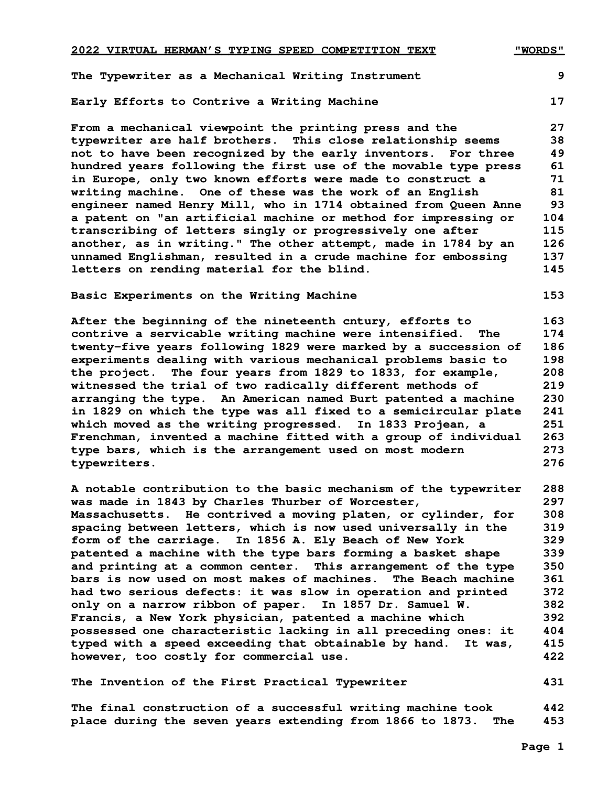**The Typewriter as a Mechanical Writing Instrument 9 Early Efforts to Contrive a Writing Machine 17**

 **From a mechanical viewpoint the printing press and the 27 typewriter are half brothers. This close relationship seems 38 not to have been recognized by the early inventors. For three 49 hundred years following the first use of the movable type press 61 in Europe, only two known efforts were made to construct a 71 writing machine. One of these was the work of an English 81 engineer named Henry Mill, who in 1714 obtained from Queen Anne 93 a patent on "an artificial machine or method for impressing or 104 transcribing of letters singly or progressively one after 115 another, as in writing." The other attempt, made in 1784 by an 126 unnamed Englishman, resulted in a crude machine for embossing 137 letters on rending material for the blind. 145**

## **Basic Experiments on the Writing Machine 153 153**

 **After the beginning of the nineteenth cntury, efforts to 163 contrive a servicable writing machine were intensified. The 174 twenty-five years following 1829 were marked by a succession of 186 experiments dealing with various mechanical problems basic to 198 the project. The four years from 1829 to 1833, for example, 208 witnessed the trial of two radically different methods of 219 arranging the type. An American named Burt patented a machine 230 in 1829 on which the type was all fixed to a semicircular plate 241 which moved as the writing progressed. In 1833 Projean, a 251 Frenchman, invented a machine fitted with a group of individual 263 type bars, which is the arrangement used on most modern 273 typewriters. 276**

 **A notable contribution to the basic mechanism of the typewriter 288 was made in 1843 by Charles Thurber of Worcester, 297 Massachusetts. He contrived a moving platen, or cylinder, for 308 spacing between letters, which is now used universally in the 319 form of the carriage. In 1856 A. Ely Beach of New York 329 patented a machine with the type bars forming a basket shape 339 and printing at a common center. This arrangement of the type 350 bars is now used on most makes of machines. The Beach machine 361 had two serious defects: it was slow in operation and printed 372 only on a narrow ribbon of paper. In 1857 Dr. Samuel W. 382 Francis, a New York physician, patented a machine which 392 possessed one characteristic lacking in all preceding ones: it 404 typed with a speed exceeding that obtainable by hand. It was, 415 however, too costly for commercial use. 422**

 **The Invention of the First Practical Typewriter 431**

 **The final construction of a successful writing machine took 442 place during the seven years extending from 1866 to 1873. The 453**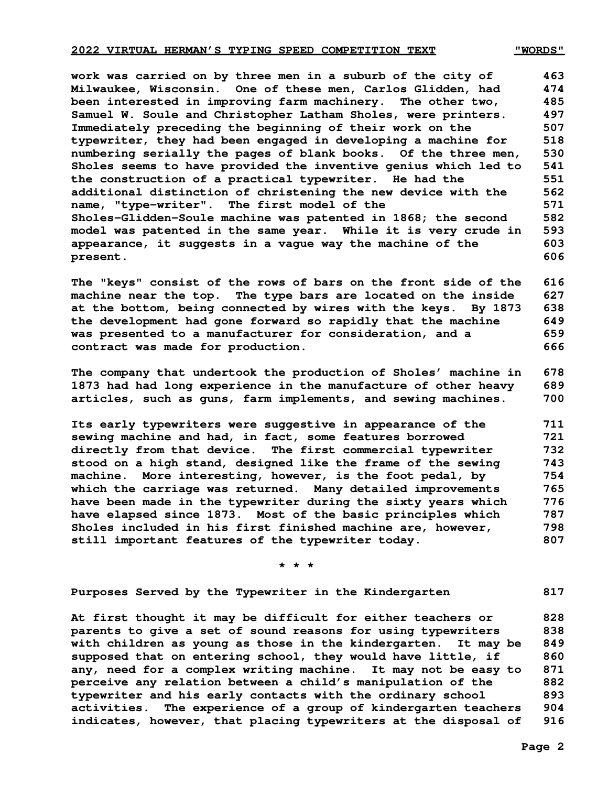### **2022 VIRTUAL HERMAN'S TYPING SPEED COMPETITION TEXT WORDS"**

 **work was carried on by three men in a suburb of the city of 463 Milwaukee, Wisconsin. One of these men, Carlos Glidden, had 474 been interested in improving farm machinery. The other two, 485 Samuel W. Soule and Christopher Latham Sholes, were printers. 497 Immediately preceding the beginning of their work on the 507 typewriter, they had been engaged in developing a machine for 518 numbering serially the pages of blank books. Of the three men, 530 Sholes seems to have provided the inventive genius which led to 541 the construction of a practical typewriter. He had the 551 additional distinction of christening the new device with the 562 name, "type-writer". The first model of the 571 Sholes-Glidden-Soule machine was patented in 1868; the second 582 model was patented in the same year. While it is very crude in 593 appearance, it suggests in a vague way the machine of the 603 present.** 606

 **The "keys" consist of the rows of bars on the front side of the 616 machine near the top. The type bars are located on the inside 627 at the bottom, being connected by wires with the keys. By 1873 638 the development had gone forward so rapidly that the machine 649 was presented to a manufacturer for consideration, and a 659 contract was made for production. 666**

 **The company that undertook the production of Sholes' machine in 678 1873 had had long experience in the manufacture of other heavy 689 articles, such as guns, farm implements, and sewing machines. 700**

 **Its early typewriters were suggestive in appearance of the 711 sewing machine and had, in fact, some features borrowed 721 directly from that device. The first commercial typewriter 732 stood on a high stand, designed like the frame of the sewing 743 machine. More interesting, however, is the foot pedal, by 754 which the carriage was returned. Many detailed improvements 765 have been made in the typewriter during the sixty years which 776 have elapsed since 1873. Most of the basic principles which 787 Sholes included in his first finished machine are, however, 798 still important features of the typewriter today. 807**

 **\* \* \***

 **Purposes Served by the Typewriter in the Kindergarten 817**

 **At first thought it may be difficult for either teachers or 828 parents to give a set of sound reasons for using typewriters 838 with children as young as those in the kindergarten. It may be 849 supposed that on entering school, they would have little, if 860 any, need for a complex writing machine. It may not be easy to 871 perceive any relation between a child's manipulation of the 882 typewriter and his early contacts with the ordinary school 893 activities. The experience of a group of kindergarten teachers 904 indicates, however, that placing typewriters at the disposal of 916**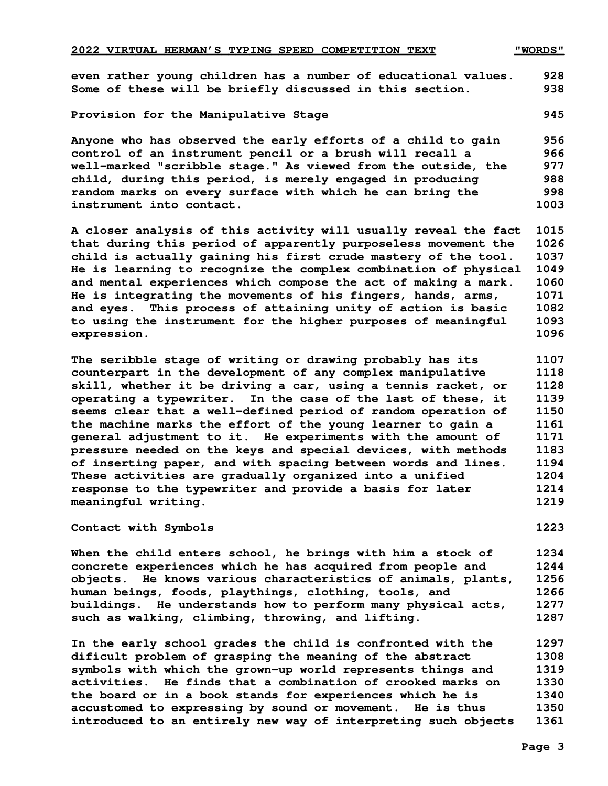**even rather young children has a number of educational values. 928 Some of these will be briefly discussed in this section. 938**

# Provision for the Manipulative Stage **1945** 1945

 **Anyone who has observed the early efforts of a child to gain 956 control of an instrument pencil or a brush will recall a 966 well-marked "scribble stage." As viewed from the outside, the 977 child, during this period, is merely engaged in producing 988 random marks on every surface with which he can bring the 998 instrument into contact. 1003**

 **A closer analysis of this activity will usually reveal the fact 1015 that during this period of apparently purposeless movement the 1026 child is actually gaining his first crude mastery of the tool. 1037 He is learning to recognize the complex combination of physical 1049 and mental experiences which compose the act of making a mark. 1060 He is integrating the movements of his fingers, hands, arms, 1071 and eyes. This process of attaining unity of action is basic 1082 to using the instrument for the higher purposes of meaningful 1093 expression. 1096**

 **The seribble stage of writing or drawing probably has its 1107 counterpart in the development of any complex manipulative 1118 skill, whether it be driving a car, using a tennis racket, or 1128 operating a typewriter. In the case of the last of these, it 1139 seems clear that a well-defined period of random operation of 1150 the machine marks the effort of the young learner to gain a 1161 general adjustment to it. He experiments with the amount of 1171 pressure needed on the keys and special devices, with methods 1183 of inserting paper, and with spacing between words and lines. 1194 These activities are gradually organized into a unified 1204 response to the typewriter and provide a basis for later 1214 meaningful writing. 1219**

 **Contact with Symbols 1223**

 **When the child enters school, he brings with him a stock of 1234 concrete experiences which he has acquired from people and 1244 objects. He knows various characteristics of animals, plants, 1256 human beings, foods, playthings, clothing, tools, and 1266 buildings. He understands how to perform many physical acts, 1277 such as walking, climbing, throwing, and lifting. 1287**

 **In the early school grades the child is confronted with the 1297 dificult problem of grasping the meaning of the abstract 1308 symbols with which the grown-up world represents things and 1319 activities. He finds that a combination of crooked marks on 1330 the board or in a book stands for experiences which he is 1340 accustomed to expressing by sound or movement. He is thus 1350 introduced to an entirely new way of interpreting such objects 1361**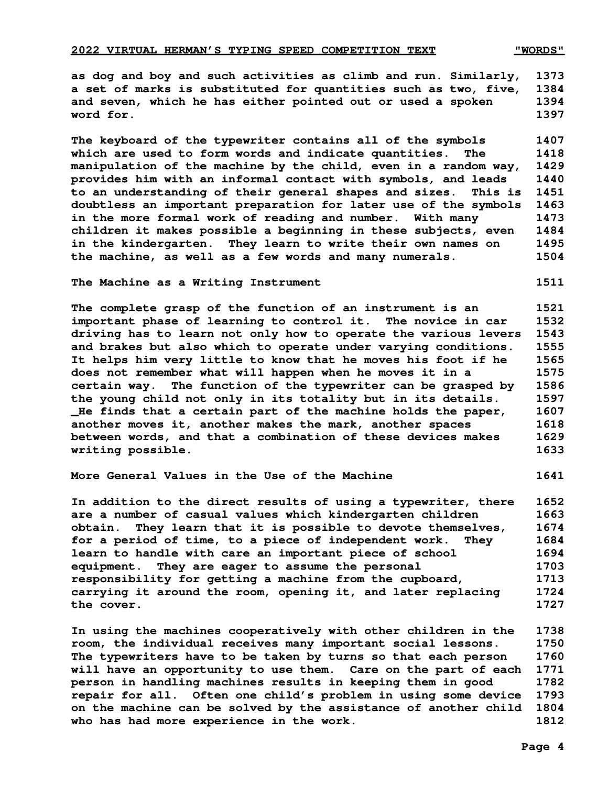# **2022 VIRTUAL HERMAN'S TYPING SPEED COMPETITION TEXT WORDS"**

 **as dog and boy and such activities as climb and run. Similarly, 1373 a set of marks is substituted for quantities such as two, five, 1384 and seven, which he has either pointed out or used a spoken 1394 word for.** 1397

 **The keyboard of the typewriter contains all of the symbols 1407 which are used to form words and indicate quantities. The 1418 manipulation of the machine by the child, even in a random way, 1429 provides him with an informal contact with symbols, and leads 1440 to an understanding of their general shapes and sizes. This is 1451 doubtless an important preparation for later use of the symbols 1463 in the more formal work of reading and number. With many 1473 children it makes possible a beginning in these subjects, even 1484 in the kindergarten. They learn to write their own names on 1495 the machine, as well as a few words and many numerals. 1504**

## **The Machine as a Writing Instrument 1511**

 **The complete grasp of the function of an instrument is an 1521 important phase of learning to control it. The novice in car 1532 driving has to learn not only how to operate the various levers 1543 and brakes but also which to operate under varying conditions. 1555 It helps him very little to know that he moves his foot if he 1565 does not remember what will happen when he moves it in a 1575 certain way. The function of the typewriter can be grasped by 1586 the young child not only in its totality but in its details. 1597 \_He finds that a certain part of the machine holds the paper, 1607 another moves it, another makes the mark, another spaces 1618 between words, and that a combination of these devices makes 1629 writing possible. 1633**

# **More General Values in the Use of the Machine 1641**

 **In addition to the direct results of using a typewriter, there 1652 are a number of casual values which kindergarten children 1663 obtain. They learn that it is possible to devote themselves, 1674 for a period of time, to a piece of independent work. They 1684 learn to handle with care an important piece of school 1694 equipment. They are eager to assume the personal 1703 responsibility for getting a machine from the cupboard, 1713 carrying it around the room, opening it, and later replacing 1724 the cover. 1727**

 **In using the machines cooperatively with other children in the 1738 room, the individual receives many important social lessons. 1750 The typewriters have to be taken by turns so that each person 1760 will have an opportunity to use them. Care on the part of each 1771 person in handling machines results in keeping them in good 1782 repair for all. Often one child's problem in using some device 1793 on the machine can be solved by the assistance of another child 1804 who has had more experience in the work. 1812**